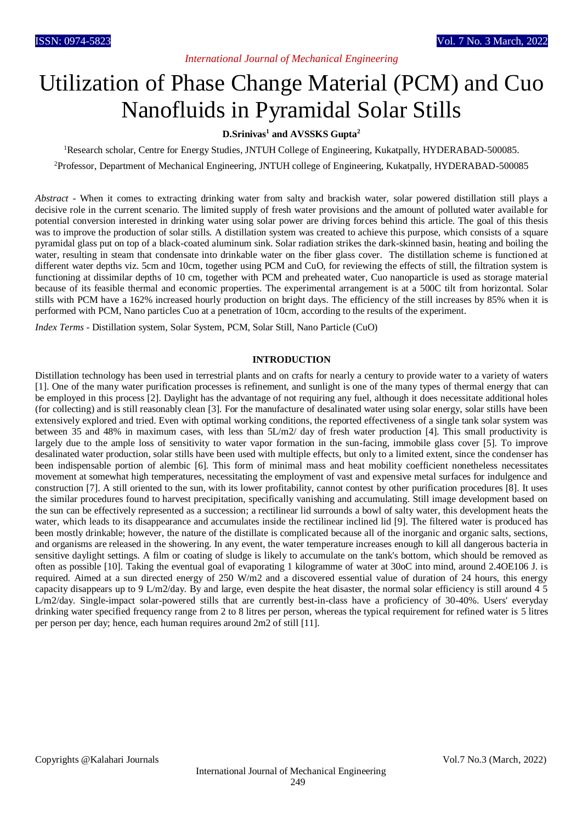# *International Journal of Mechanical Engineering*

# Utilization of Phase Change Material (PCM) and Cuo Nanofluids in Pyramidal Solar Stills

# **D.Srinivas<sup>1</sup> and AVSSKS Gupta<sup>2</sup>**

<sup>1</sup>Research scholar, Centre for Energy Studies, JNTUH College of Engineering, Kukatpally, HYDERABAD-500085.

<sup>2</sup>Professor, Department of Mechanical Engineering, JNTUH college of Engineering, Kukatpally, HYDERABAD-500085

*Abstract* - When it comes to extracting drinking water from salty and brackish water, solar powered distillation still plays a decisive role in the current scenario. The limited supply of fresh water provisions and the amount of polluted water available for potential conversion interested in drinking water using solar power are driving forces behind this article. The goal of this thesis was to improve the production of solar stills. A distillation system was created to achieve this purpose, which consists of a square pyramidal glass put on top of a black-coated aluminum sink. Solar radiation strikes the dark-skinned basin, heating and boiling the water, resulting in steam that condensate into drinkable water on the fiber glass cover. The distillation scheme is functioned at different water depths viz. 5cm and 10cm, together using PCM and CuO, for reviewing the effects of still, the filtration system is functioning at dissimilar depths of 10 cm, together with PCM and preheated water, Cuo nanoparticle is used as storage material because of its feasible thermal and economic properties. The experimental arrangement is at a 500C tilt from horizontal. Solar stills with PCM have a 162% increased hourly production on bright days. The efficiency of the still increases by 85% when it is performed with PCM, Nano particles Cuo at a penetration of 10cm, according to the results of the experiment.

*Index Terms* - Distillation system, Solar System, PCM, Solar Still, Nano Particle (CuO)

# **INTRODUCTION**

Distillation technology has been used in terrestrial plants and on crafts for nearly a century to provide water to a variety of waters [1]. One of the many water purification processes is refinement, and sunlight is one of the many types of thermal energy that can be employed in this process [2]. Daylight has the advantage of not requiring any fuel, although it does necessitate additional holes (for collecting) and is still reasonably clean [3]. For the manufacture of desalinated water using solar energy, solar stills have been extensively explored and tried. Even with optimal working conditions, the reported effectiveness of a single tank solar system was between 35 and 48% in maximum cases, with less than 5L/m2/ day of fresh water production [4]. This small productivity is largely due to the ample loss of sensitivity to water vapor formation in the sun-facing, immobile glass cover [5]. To improve desalinated water production, solar stills have been used with multiple effects, but only to a limited extent, since the condenser has been indispensable portion of alembic [6]. This form of minimal mass and heat mobility coefficient nonetheless necessitates movement at somewhat high temperatures, necessitating the employment of vast and expensive metal surfaces for indulgence and construction [7]. A still oriented to the sun, with its lower profitability, cannot contest by other purification procedures [8]. It uses the similar procedures found to harvest precipitation, specifically vanishing and accumulating. Still image development based on the sun can be effectively represented as a succession; a rectilinear lid surrounds a bowl of salty water, this development heats the water, which leads to its disappearance and accumulates inside the rectilinear inclined lid [9]. The filtered water is produced has been mostly drinkable; however, the nature of the distillate is complicated because all of the inorganic and organic salts, sections, and organisms are released in the showering. In any event, the water temperature increases enough to kill all dangerous bacteria in sensitive daylight settings. A film or coating of sludge is likely to accumulate on the tank's bottom, which should be removed as often as possible [10]. Taking the eventual goal of evaporating 1 kilogramme of water at 30oC into mind, around 2.4OE106 J. is required. Aimed at a sun directed energy of 250 W/m2 and a discovered essential value of duration of 24 hours, this energy capacity disappears up to 9 L/m2/day. By and large, even despite the heat disaster, the normal solar efficiency is still around 4 5 L/m2/day. Single-impact solar-powered stills that are currently best-in-class have a proficiency of 30-40%. Users' everyday drinking water specified frequency range from 2 to 8 litres per person, whereas the typical requirement for refined water is 5 litres per person per day; hence, each human requires around 2m2 of still [11].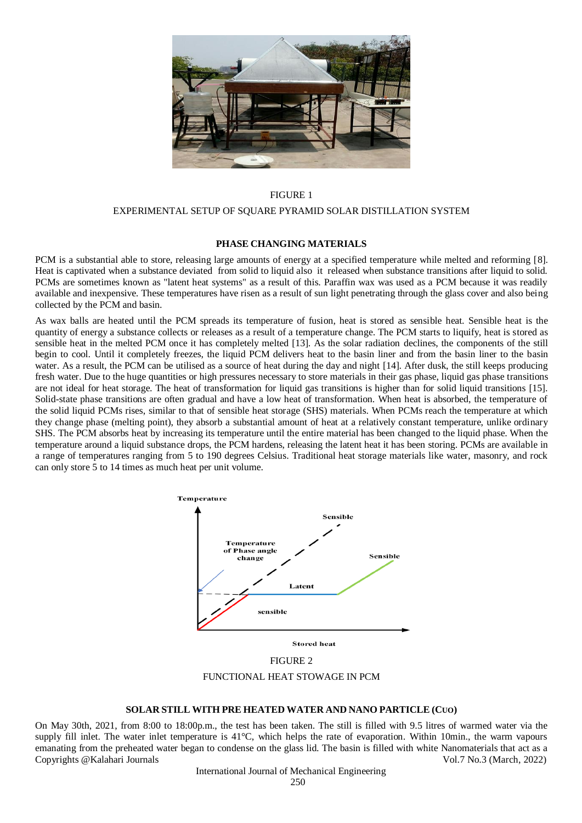

#### FIGURE 1

#### EXPERIMENTAL SETUP OF SQUARE PYRAMID SOLAR DISTILLATION SYSTEM

#### **PHASE CHANGING MATERIALS**

PCM is a substantial able to store, releasing large amounts of energy at a specified temperature while melted and reforming [8]. Heat is captivated when a substance deviated from solid to liquid also it released when substance transitions after liquid to solid. PCMs are sometimes known as "latent heat systems" as a result of this. Paraffin wax was used as a PCM because it was readily available and inexpensive. These temperatures have risen as a result of sun light penetrating through the glass cover and also being collected by the PCM and basin.

As wax balls are heated until the PCM spreads its temperature of fusion, heat is stored as sensible heat. Sensible heat is the quantity of energy a substance collects or releases as a result of a temperature change. The PCM starts to liquify, heat is stored as sensible heat in the melted PCM once it has completely melted [13]. As the solar radiation declines, the components of the still begin to cool. Until it completely freezes, the liquid PCM delivers heat to the basin liner and from the basin liner to the basin water. As a result, the PCM can be utilised as a source of heat during the day and night [14]. After dusk, the still keeps producing fresh water. Due to the huge quantities or high pressures necessary to store materials in their gas phase, liquid gas phase transitions are not ideal for heat storage. The heat of transformation for liquid gas transitions is higher than for solid liquid transitions [15]. Solid-state phase transitions are often gradual and have a low heat of transformation. When heat is absorbed, the temperature of the solid liquid PCMs rises, similar to that of sensible heat storage (SHS) materials. When PCMs reach the temperature at which they change phase (melting point), they absorb a substantial amount of heat at a relatively constant temperature, unlike ordinary SHS. The PCM absorbs heat by increasing its temperature until the entire material has been changed to the liquid phase. When the temperature around a liquid substance drops, the PCM hardens, releasing the latent heat it has been storing. PCMs are available in a range of temperatures ranging from 5 to 190 degrees Celsius. Traditional heat storage materials like water, masonry, and rock can only store 5 to 14 times as much heat per unit volume.



**Stored heat** 

FIGURE 2 FUNCTIONAL HEAT STOWAGE IN PCM

#### **SOLAR STILL WITH PRE HEATED WATER AND NANO PARTICLE (CUO)**

Copyrights @Kalahari Journals Vol.7 No.3 (March, 2022) On May 30th, 2021, from 8:00 to 18:00p.m., the test has been taken. The still is filled with 9.5 litres of warmed water via the supply fill inlet. The water inlet temperature is 41°C, which helps the rate of evaporation. Within 10min., the warm vapours emanating from the preheated water began to condense on the glass lid. The basin is filled with white Nanomaterials that act as a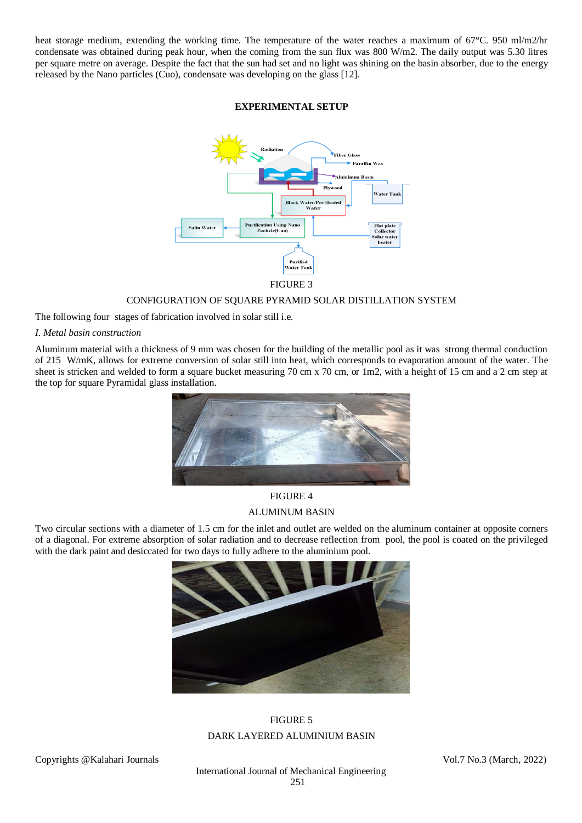heat storage medium, extending the working time. The temperature of the water reaches a maximum of 67°C. 950 ml/m2/hr condensate was obtained during peak hour, when the coming from the sun flux was 800 W/m2. The daily output was 5.30 litres per square metre on average. Despite the fact that the sun had set and no light was shining on the basin absorber, due to the energy released by the Nano particles (Cuo), condensate was developing on the glass [12].

#### **EXPERIMENTAL SETUP**



FIGURE 3

#### CONFIGURATION OF SQUARE PYRAMID SOLAR DISTILLATION SYSTEM

The following four stages of fabrication involved in solar still i.e.

#### *I. Metal basin construction*

Aluminum material with a thickness of 9 mm was chosen for the building of the metallic pool as it was strong thermal conduction of 215 W/mK, allows for extreme conversion of solar still into heat, which corresponds to evaporation amount of the water. The sheet is stricken and welded to form a square bucket measuring 70 cm x 70 cm, or 1m2, with a height of 15 cm and a 2 cm step at the top for square Pyramidal glass installation.



# FIGURE 4 ALUMINUM BASIN

Two circular sections with a diameter of 1.5 cm for the inlet and outlet are welded on the aluminum container at opposite corners of a diagonal. For extreme absorption of solar radiation and to decrease reflection from pool, the pool is coated on the privileged with the dark paint and desiccated for two days to fully adhere to the aluminium pool.



# FIGURE 5 DARK LAYERED ALUMINIUM BASIN

Copyrights @Kalahari Journals Vol.7 No.3 (March, 2022)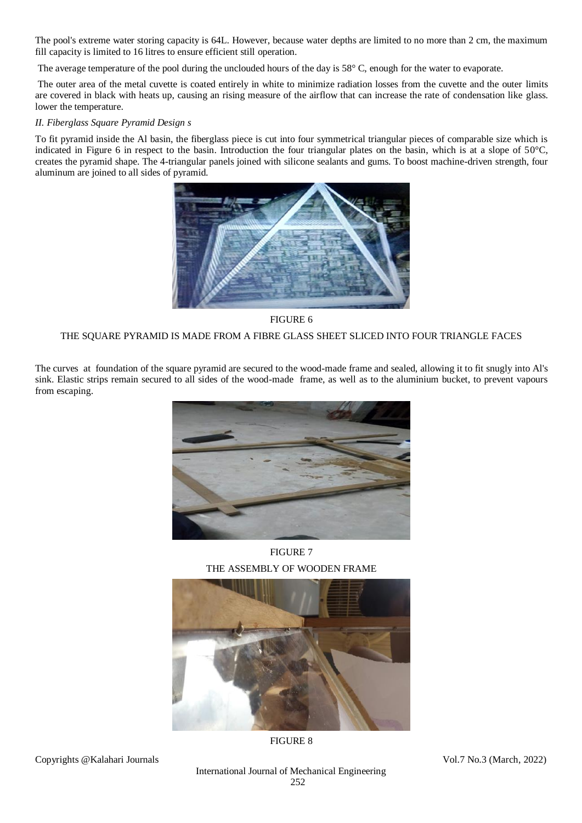The pool's extreme water storing capacity is 64L. However, because water depths are limited to no more than 2 cm, the maximum fill capacity is limited to 16 litres to ensure efficient still operation.

The average temperature of the pool during the unclouded hours of the day is 58° C, enough for the water to evaporate.

The outer area of the metal cuvette is coated entirely in white to minimize radiation losses from the cuvette and the outer limits are covered in black with heats up, causing an rising measure of the airflow that can increase the rate of condensation like glass. lower the temperature.

# *II. Fiberglass Square Pyramid Design s*

To fit pyramid inside the Al basin, the fiberglass piece is cut into four symmetrical triangular pieces of comparable size which is indicated in Figure 6 in respect to the basin. Introduction the four triangular plates on the basin, which is at a slope of 50°C, creates the pyramid shape. The 4-triangular panels joined with silicone sealants and gums. To boost machine-driven strength, four aluminum are joined to all sides of pyramid.



FIGURE 6

# THE SQUARE PYRAMID IS MADE FROM A FIBRE GLASS SHEET SLICED INTO FOUR TRIANGLE FACES

The curves at foundation of the square pyramid are secured to the wood-made frame and sealed, allowing it to fit snugly into Al's sink. Elastic strips remain secured to all sides of the wood-made frame, as well as to the aluminium bucket, to prevent vapours from escaping.



FIGURE 7 THE ASSEMBLY OF WOODEN FRAME



FIGURE 8

Copyrights @Kalahari Journals Vol.7 No.3 (March, 2022)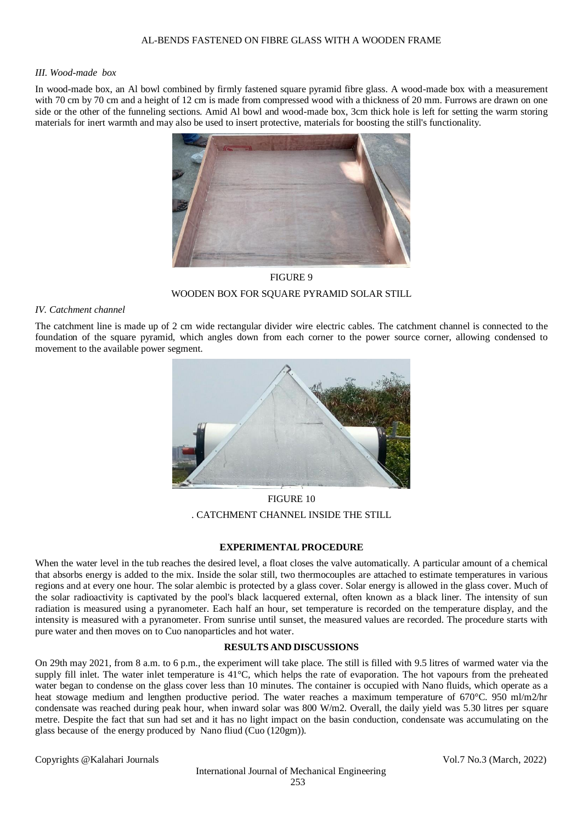#### *III. Wood-made box*

In wood-made box, an Al bowl combined by firmly fastened square pyramid fibre glass. A wood-made box with a measurement with 70 cm by 70 cm and a height of 12 cm is made from compressed wood with a thickness of 20 mm. Furrows are drawn on one side or the other of the funneling sections. Amid Al bowl and wood-made box, 3cm thick hole is left for setting the warm storing materials for inert warmth and may also be used to insert protective, materials for boosting the still's functionality.



FIGURE 9 WOODEN BOX FOR SQUARE PYRAMID SOLAR STILL

# *IV. Catchment channel*

The catchment line is made up of 2 cm wide rectangular divider wire electric cables. The catchment channel is connected to the foundation of the square pyramid, which angles down from each corner to the power source corner, allowing condensed to movement to the available power segment.



FIGURE 10 . CATCHMENT CHANNEL INSIDE THE STILL

# **EXPERIMENTAL PROCEDURE**

When the water level in the tub reaches the desired level, a float closes the valve automatically. A particular amount of a chemical that absorbs energy is added to the mix. Inside the solar still, two thermocouples are attached to estimate temperatures in various regions and at every one hour. The solar alembic is protected by a glass cover. Solar energy is allowed in the glass cover. Much of the solar radioactivity is captivated by the pool's black lacquered external, often known as a black liner. The intensity of sun radiation is measured using a pyranometer. Each half an hour, set temperature is recorded on the temperature display, and the intensity is measured with a pyranometer. From sunrise until sunset, the measured values are recorded. The procedure starts with pure water and then moves on to Cuo nanoparticles and hot water.

# **RESULTS AND DISCUSSIONS**

On 29th may 2021, from 8 a.m. to 6 p.m., the experiment will take place. The still is filled with 9.5 litres of warmed water via the supply fill inlet. The water inlet temperature is 41°C, which helps the rate of evaporation. The hot vapours from the preheated water began to condense on the glass cover less than 10 minutes. The container is occupied with Nano fluids, which operate as a heat stowage medium and lengthen productive period. The water reaches a maximum temperature of 670°C. 950 ml/m2/hr condensate was reached during peak hour, when inward solar was 800 W/m2. Overall, the daily yield was 5.30 litres per square metre. Despite the fact that sun had set and it has no light impact on the basin conduction, condensate was accumulating on the glass because of the energy produced by Nano fliud (Cuo (120gm)).

Copyrights @Kalahari Journals Vol.7 No.3 (March, 2022)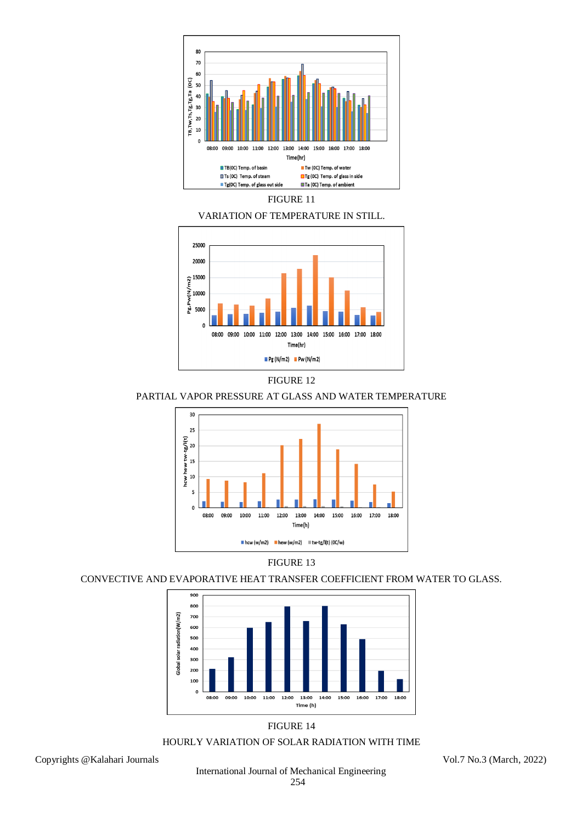









PARTIAL VAPOR PRESSURE AT GLASS AND WATER TEMPERATURE





# CONVECTIVE AND EVAPORATIVE HEAT TRANSFER COEFFICIENT FROM WATER TO GLASS.



# FIGURE 14

# HOURLY VARIATION OF SOLAR RADIATION WITH TIME

Copyrights @Kalahari Journals Vol.7 No.3 (March, 2022)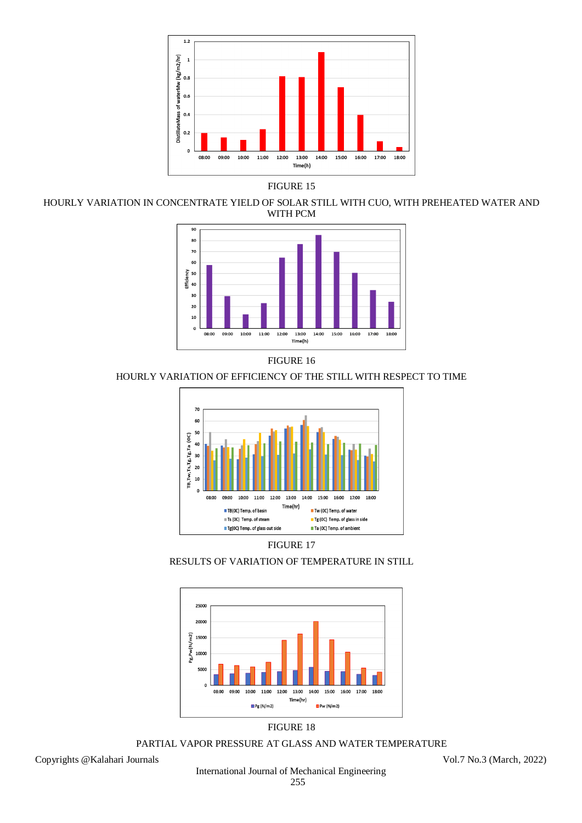

FIGURE 15

HOURLY VARIATION IN CONCENTRATE YIELD OF SOLAR STILL WITH CUO, WITH PREHEATED WATER AND WITH PCM



FIGURE 16

HOURLY VARIATION OF EFFICIENCY OF THE STILL WITH RESPECT TO TIME



FIGURE 17

RESULTS OF VARIATION OF TEMPERATURE IN STILL



FIGURE 18

PARTIAL VAPOR PRESSURE AT GLASS AND WATER TEMPERATURE

Copyrights @Kalahari Journals Vol.7 No.3 (March, 2022)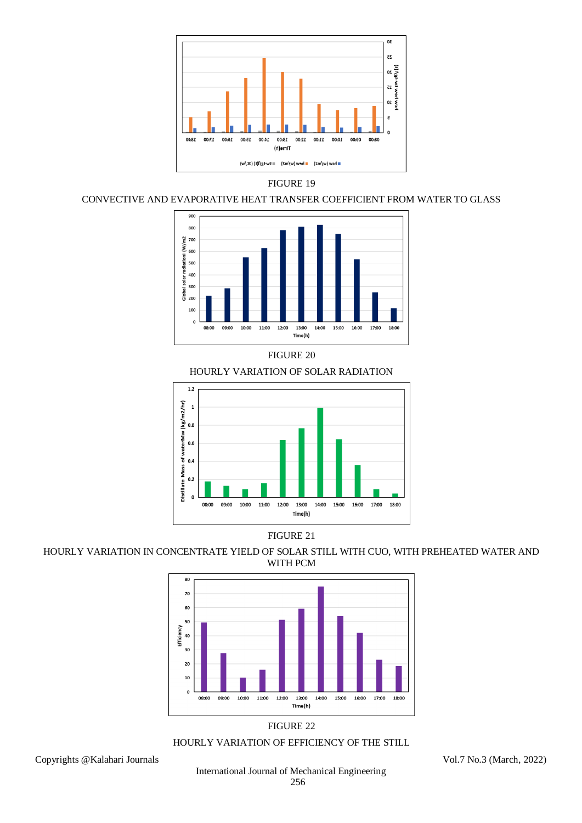

# FIGURE 19

# CONVECTIVE AND EVAPORATIVE HEAT TRANSFER COEFFICIENT FROM WATER TO GLASS



FIGURE 20

HOURLY VARIATION OF SOLAR RADIATION



# FIGURE 21

HOURLY VARIATION IN CONCENTRATE YIELD OF SOLAR STILL WITH CUO, WITH PREHEATED WATER AND WITH PCM



# FIGURE 22

# HOURLY VARIATION OF EFFICIENCY OF THE STILL

Copyrights @Kalahari Journals Vol.7 No.3 (March, 2022)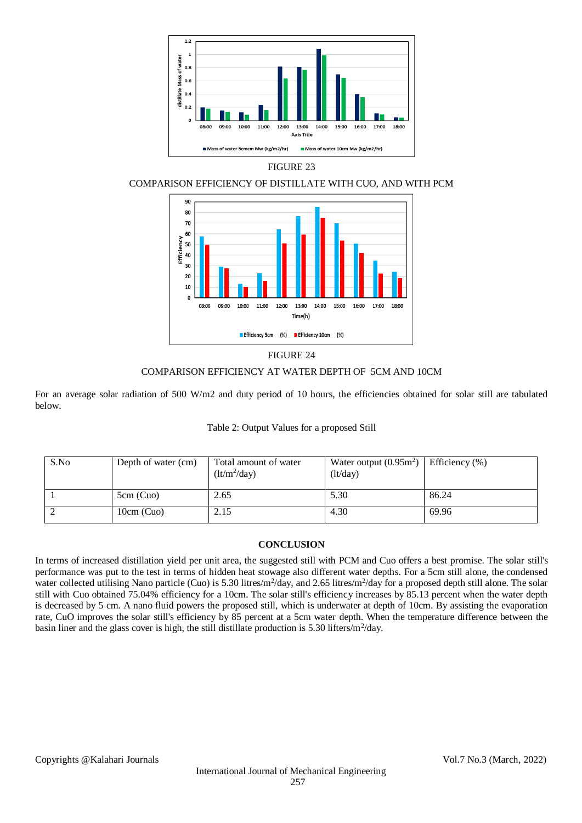

# FIGURE 23

# COMPARISON EFFICIENCY OF DISTILLATE WITH CUO, AND WITH PCM



#### FIGURE 24

#### COMPARISON EFFICIENCY AT WATER DEPTH OF 5CM AND 10CM

For an average solar radiation of 500 W/m2 and duty period of 10 hours, the efficiencies obtained for solar still are tabulated below.

#### Table 2: Output Values for a proposed Still

| S.No | Depth of water (cm) | Total amount of water<br>$(lt/m^2/day)$ | Water output $(0.95m^2)$  <br>(lt/day) | Efficiency $(\% )$ |
|------|---------------------|-----------------------------------------|----------------------------------------|--------------------|
|      | 5cm (Cuo)           | 2.65                                    | 5.30                                   | 86.24              |
|      | $10cm$ (Cuo)        | 2.15                                    | 4.30                                   | 69.96              |

## **CONCLUSION**

In terms of increased distillation yield per unit area, the suggested still with PCM and Cuo offers a best promise. The solar still's performance was put to the test in terms of hidden heat stowage also different water depths. For a 5cm still alone, the condensed water collected utilising Nano particle (Cuo) is 5.30 litres/m<sup>2</sup>/day, and 2.65 litres/m<sup>2</sup>/day for a proposed depth still alone. The solar still with Cuo obtained 75.04% efficiency for a 10cm. The solar still's efficiency increases by 85.13 percent when the water depth is decreased by 5 cm. A nano fluid powers the proposed still, which is underwater at depth of 10cm. By assisting the evaporation rate, CuO improves the solar still's efficiency by 85 percent at a 5cm water depth. When the temperature difference between the basin liner and the glass cover is high, the still distillate production is 5.30 lifters/ $m^2$ /day.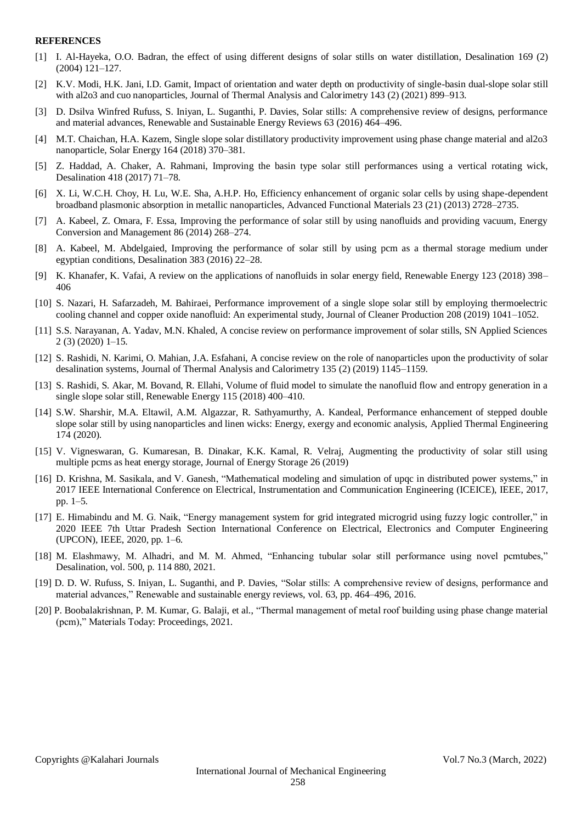#### **REFERENCES**

- [1] I. Al-Hayeka, O.O. Badran, the effect of using different designs of solar stills on water distillation, Desalination 169 (2) (2004) 121–127.
- [2] K.V. Modi, H.K. Jani, I.D. Gamit, Impact of orientation and water depth on productivity of single-basin dual-slope solar still with al2o3 and cuo nanoparticles, Journal of Thermal Analysis and Calorimetry 143 (2) (2021) 899–913.
- [3] D. Dsilva Winfred Rufuss, S. Iniyan, L. Suganthi, P. Davies, Solar stills: A comprehensive review of designs, performance and material advances, Renewable and Sustainable Energy Reviews 63 (2016) 464–496.
- [4] M.T. Chaichan, H.A. Kazem, Single slope solar distillatory productivity improvement using phase change material and al2o3 nanoparticle, Solar Energy 164 (2018) 370–381.
- [5] Z. Haddad, A. Chaker, A. Rahmani, Improving the basin type solar still performances using a vertical rotating wick, Desalination 418 (2017) 71–78.
- [6] X. Li, W.C.H. Choy, H. Lu, W.E. Sha, A.H.P. Ho, Efficiency enhancement of organic solar cells by using shape-dependent broadband plasmonic absorption in metallic nanoparticles, Advanced Functional Materials 23 (21) (2013) 2728–2735.
- [7] A. Kabeel, Z. Omara, F. Essa, Improving the performance of solar still by using nanofluids and providing vacuum, Energy Conversion and Management 86 (2014) 268–274.
- [8] A. Kabeel, M. Abdelgaied, Improving the performance of solar still by using pcm as a thermal storage medium under egyptian conditions, Desalination 383 (2016) 22–28.
- [9] K. Khanafer, K. Vafai, A review on the applications of nanofluids in solar energy field, Renewable Energy 123 (2018) 398– 406
- [10] S. Nazari, H. Safarzadeh, M. Bahiraei, Performance improvement of a single slope solar still by employing thermoelectric cooling channel and copper oxide nanofluid: An experimental study, Journal of Cleaner Production 208 (2019) 1041–1052.
- [11] S.S. Narayanan, A. Yadav, M.N. Khaled, A concise review on performance improvement of solar stills, SN Applied Sciences 2 (3) (2020) 1–15.
- [12] S. Rashidi, N. Karimi, O. Mahian, J.A. Esfahani, A concise review on the role of nanoparticles upon the productivity of solar desalination systems, Journal of Thermal Analysis and Calorimetry 135 (2) (2019) 1145–1159.
- [13] S. Rashidi, S. Akar, M. Bovand, R. Ellahi, Volume of fluid model to simulate the nanofluid flow and entropy generation in a single slope solar still, Renewable Energy 115 (2018) 400–410.
- [14] S.W. Sharshir, M.A. Eltawil, A.M. Algazzar, R. Sathyamurthy, A. Kandeal, Performance enhancement of stepped double slope solar still by using nanoparticles and linen wicks: Energy, exergy and economic analysis, Applied Thermal Engineering 174 (2020).
- [15] V. Vigneswaran, G. Kumaresan, B. Dinakar, K.K. Kamal, R. Velraj, Augmenting the productivity of solar still using multiple pcms as heat energy storage, Journal of Energy Storage 26 (2019)
- [16] D. Krishna, M. Sasikala, and V. Ganesh, "Mathematical modeling and simulation of upqc in distributed power systems," in 2017 IEEE International Conference on Electrical, Instrumentation and Communication Engineering (ICEICE), IEEE, 2017, pp. 1–5.
- [17] E. Himabindu and M. G. Naik, "Energy management system for grid integrated microgrid using fuzzy logic controller," in 2020 IEEE 7th Uttar Pradesh Section International Conference on Electrical, Electronics and Computer Engineering (UPCON), IEEE, 2020, pp. 1–6.
- [18] M. Elashmawy, M. Alhadri, and M. M. Ahmed, "Enhancing tubular solar still performance using novel pcmtubes," Desalination, vol. 500, p. 114 880, 2021.
- [19] D. D. W. Rufuss, S. Iniyan, L. Suganthi, and P. Davies, "Solar stills: A comprehensive review of designs, performance and material advances," Renewable and sustainable energy reviews, vol. 63, pp. 464–496, 2016.
- [20] P. Boobalakrishnan, P. M. Kumar, G. Balaji, et al., "Thermal management of metal roof building using phase change material (pcm)," Materials Today: Proceedings, 2021.